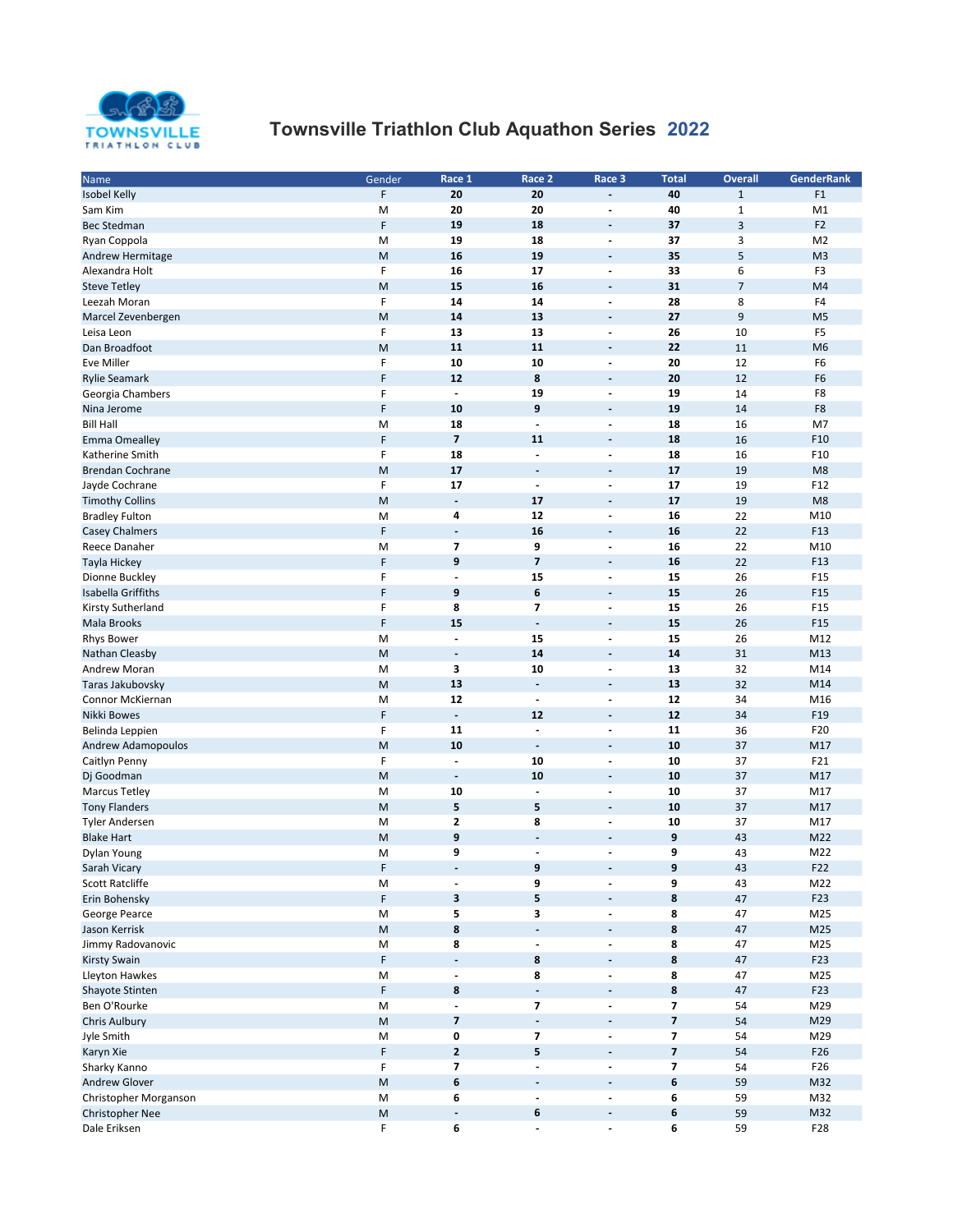

## TOWNSVILLE TOWNSVIIIe Triathlon Club Aquathon Series 2022

| Name                    | Gender | Race 1                   | Race 2                   | Race 3                   | <b>Total</b>             | <b>Overall</b> | <b>GenderRank</b> |
|-------------------------|--------|--------------------------|--------------------------|--------------------------|--------------------------|----------------|-------------------|
| <b>Isobel Kelly</b>     | F      | 20                       | 20                       | $\overline{\phantom{a}}$ | 40                       | $\mathbf 1$    | F <sub>1</sub>    |
| Sam Kim                 | M      | 20                       | 20                       | $\overline{\phantom{a}}$ | 40                       | $\mathbf 1$    | M1                |
| <b>Bec Stedman</b>      | F      | 19                       | 18                       | $\overline{\phantom{a}}$ | 37                       | 3              | F <sub>2</sub>    |
| Ryan Coppola            | M      | 19                       | 18                       | $\blacksquare$           | 37                       | 3              | M <sub>2</sub>    |
|                         |        |                          |                          |                          |                          |                |                   |
| Andrew Hermitage        | M      | 16                       | 19                       | $\overline{\phantom{a}}$ | 35                       | 5              | M <sub>3</sub>    |
| Alexandra Holt          | F      | 16                       | 17                       | $\overline{\phantom{a}}$ | 33                       | 6              | F <sub>3</sub>    |
| <b>Steve Tetley</b>     | M      | 15                       | 16                       | $\overline{\phantom{a}}$ | 31                       | $\overline{7}$ | M4                |
| Leezah Moran            | F      | 14                       | 14                       | $\overline{a}$           | 28                       | 8              | F4                |
| Marcel Zevenbergen      | M      | 14                       | 13                       | $\overline{\phantom{a}}$ | 27                       | 9              | M <sub>5</sub>    |
| Leisa Leon              | F      | 13                       | 13                       | $\overline{\phantom{a}}$ | 26                       | 10             | F <sub>5</sub>    |
| Dan Broadfoot           | M      | 11                       | 11                       | $\overline{\phantom{a}}$ | 22                       | 11             | M <sub>6</sub>    |
| <b>Eve Miller</b>       | F      | 10                       | 10                       | $\overline{\phantom{a}}$ | 20                       | 12             | F <sub>6</sub>    |
| <b>Rylie Seamark</b>    | F      | 12                       | 8                        | $\overline{\phantom{a}}$ | 20                       | 12             | F <sub>6</sub>    |
| Georgia Chambers        | F      | $\overline{\phantom{a}}$ | 19                       | $\blacksquare$           | 19                       | 14             | F8                |
| Nina Jerome             | F      | 10                       | 9                        | $\overline{\phantom{a}}$ | 19                       | 14             | F8                |
| <b>Bill Hall</b>        | M      | 18                       | $\overline{\phantom{a}}$ | $\overline{\phantom{a}}$ | 18                       | 16             | M7                |
|                         | F      | $\overline{\mathbf{z}}$  |                          |                          | 18                       |                |                   |
| <b>Emma Omealley</b>    |        |                          | 11                       | $\overline{\phantom{a}}$ |                          | 16             | F10               |
| Katherine Smith         | F      | 18                       | $\blacksquare$           | $\overline{\phantom{a}}$ | 18                       | 16             | F10               |
| <b>Brendan Cochrane</b> | M      | 17                       | $\overline{\phantom{a}}$ | $\overline{\phantom{a}}$ | 17                       | 19             | M <sub>8</sub>    |
| Jayde Cochrane          | F      | 17                       | $\overline{\phantom{a}}$ | $\overline{\phantom{a}}$ | 17                       | 19             | F12               |
| <b>Timothy Collins</b>  | M      | $\overline{\phantom{a}}$ | 17                       | $\overline{\phantom{a}}$ | 17                       | 19             | M <sub>8</sub>    |
| <b>Bradley Fulton</b>   | M      | 4                        | 12                       | $\overline{\phantom{a}}$ | 16                       | 22             | M10               |
| <b>Casey Chalmers</b>   | F      | $\overline{\phantom{a}}$ | 16                       | $\overline{\phantom{a}}$ | 16                       | 22             | F13               |
| Reece Danaher           | M      | $\overline{\mathbf{z}}$  | 9                        | $\overline{\phantom{a}}$ | 16                       | 22             | M10               |
| Tayla Hickey            | F      | 9                        | $\overline{\mathbf{z}}$  | $\overline{\phantom{a}}$ | 16                       | 22             | F13               |
| Dionne Buckley          | F      | $\overline{a}$           | 15                       | $\overline{\phantom{a}}$ | 15                       | 26             | F <sub>15</sub>   |
| Isabella Griffiths      | F      | 9                        | 6                        | $\overline{\phantom{a}}$ | 15                       | 26             | F15               |
| Kirsty Sutherland       | F      | 8                        | 7                        | $\overline{\phantom{a}}$ | 15                       | 26             | F <sub>15</sub>   |
| Mala Brooks             | F      | 15                       | $\overline{\phantom{a}}$ | $\overline{\phantom{a}}$ | 15                       | 26             | F <sub>15</sub>   |
|                         |        |                          |                          |                          |                          |                |                   |
| <b>Rhys Bower</b>       | M      | $\overline{\phantom{a}}$ | 15                       | $\blacksquare$           | 15                       | 26             | M12               |
| Nathan Cleasby          | M      | $\overline{\phantom{a}}$ | 14                       | $\overline{\phantom{a}}$ | 14                       | 31             | M13               |
| Andrew Moran            | M      | 3                        | 10                       | $\blacksquare$           | 13                       | 32             | M14               |
| Taras Jakubovsky        | M      | 13                       | $\overline{a}$           | $\overline{\phantom{a}}$ | 13                       | 32             | M14               |
| Connor McKiernan        | M      | 12                       | $\overline{\phantom{a}}$ | $\overline{\phantom{a}}$ | 12                       | 34             | M16               |
| Nikki Bowes             | F      | $\overline{\phantom{a}}$ | 12                       | $\overline{\phantom{a}}$ | 12                       | 34             | F19               |
| Belinda Leppien         | F      | 11                       | $\overline{a}$           | $\overline{\phantom{a}}$ | 11                       | 36             | F20               |
| Andrew Adamopoulos      | M      | 10                       | $\overline{\phantom{a}}$ | $\overline{\phantom{a}}$ | 10                       | 37             | M17               |
| Caitlyn Penny           | F      | $\overline{\phantom{a}}$ | 10                       | $\overline{\phantom{a}}$ | 10                       | 37             | F21               |
| Dj Goodman              | M      | $\overline{\phantom{a}}$ | 10                       | $\overline{\phantom{a}}$ | 10                       | 37             | M17               |
| <b>Marcus Tetley</b>    | М      | 10                       | $\overline{\phantom{a}}$ | $\overline{\phantom{a}}$ | 10                       | 37             | M17               |
| <b>Tony Flanders</b>    | M      | 5                        | 5                        | $\overline{\phantom{a}}$ | 10                       | 37             | M17               |
| <b>Tyler Andersen</b>   | M      | $\mathbf{2}$             | 8                        | $\overline{\phantom{a}}$ | 10                       | 37             | M17               |
| <b>Blake Hart</b>       | M      | 9                        | $\overline{\phantom{a}}$ | $\overline{\phantom{a}}$ | 9                        | 43             | M22               |
|                         |        | 9                        | Ĭ.                       | ÷,                       | 9                        |                |                   |
| Dylan Young             | M      |                          |                          |                          |                          | 43             | M22               |
| Sarah Vicary            | F      |                          | 9                        |                          | 9                        | 43             | F22               |
| Scott Ratcliffe         | M      | $\overline{\phantom{a}}$ | 9                        | $\overline{\phantom{a}}$ | 9                        | 43             | M22               |
| Erin Bohensky           | F      | 3                        | 5                        | $\overline{\phantom{a}}$ | $\bf{8}$                 | 47             | F23               |
| George Pearce           | M      | 5                        | 3                        | $\overline{\phantom{a}}$ | 8                        | 47             | M25               |
| Jason Kerrisk           | M      | 8                        | $\overline{\phantom{a}}$ | $\overline{\phantom{a}}$ | 8                        | 47             | M25               |
| Jimmy Radovanovic       | M      | 8                        | $\overline{\phantom{a}}$ | $\overline{\phantom{a}}$ | 8                        | 47             | M25               |
| <b>Kirsty Swain</b>     | F      | $\Box$                   | 8                        | $\overline{\phantom{a}}$ | $\pmb{8}$                | 47             | F23               |
| Lleyton Hawkes          | M      | $\overline{\phantom{a}}$ | 8                        | $\blacksquare$           | 8                        | 47             | M25               |
| Shayote Stinten         | F      | 8                        | $\overline{\phantom{a}}$ | $\overline{\phantom{a}}$ | $\bf{8}$                 | 47             | F23               |
| Ben O'Rourke            | M      | $\blacksquare$           | $\overline{\phantom{a}}$ | $\overline{\phantom{a}}$ | $\overline{\phantom{a}}$ | 54             | M29               |
| Chris Aulbury           | M      | $\overline{\mathbf{z}}$  | $\overline{\phantom{a}}$ | $\overline{\phantom{a}}$ | $\overline{7}$           | 54             | M29               |
| Jyle Smith              |        | 0                        | $\overline{\phantom{a}}$ | $\overline{\phantom{a}}$ | $\overline{7}$           | 54             | M29               |
|                         | M      |                          |                          |                          |                          |                |                   |
| Karyn Xie               | F      | $\mathbf{2}$             | 5                        | $\overline{\phantom{a}}$ | $\overline{\mathbf{z}}$  | 54             | F26               |
| Sharky Kanno            | F      | $\overline{\phantom{a}}$ | $\blacksquare$           | $\overline{\phantom{a}}$ | $\overline{\phantom{a}}$ | 54             | F26               |
| Andrew Glover           | M      | 6                        | $\overline{\phantom{a}}$ | $\overline{\phantom{a}}$ | 6                        | 59             | M32               |
| Christopher Morganson   | M      | 6                        | $\blacksquare$           | $\overline{\phantom{a}}$ | 6                        | 59             | M32               |
| Christopher Nee         | M      | $\blacksquare$           | 6                        | $\overline{\phantom{a}}$ | 6                        | 59             | M32               |
| Dale Eriksen            | F      | 6                        | ۰                        | $\overline{\phantom{a}}$ | 6                        | 59             | F28               |